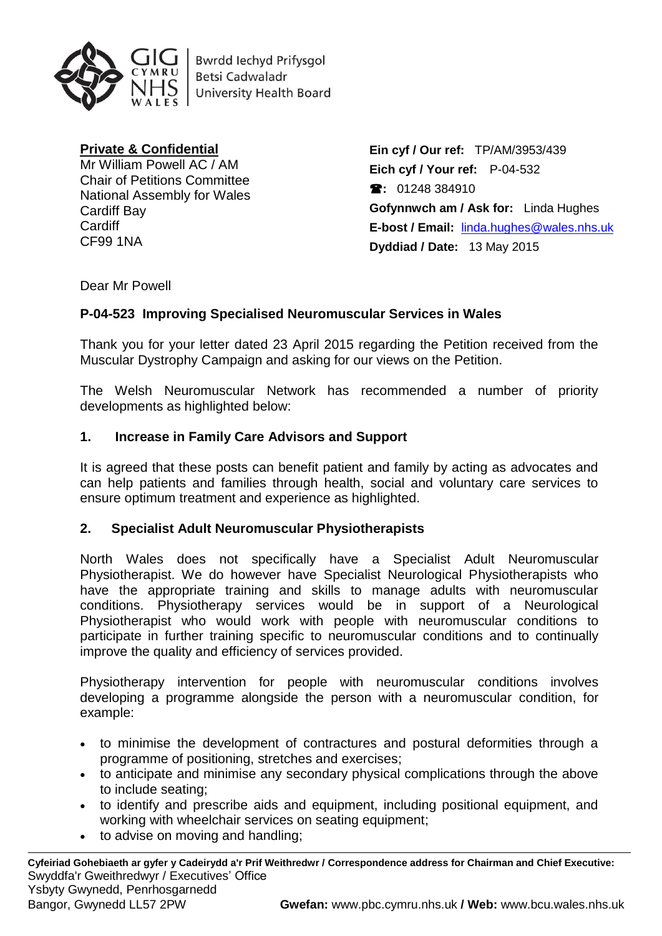

**Bwrdd lechyd Prifysgol Betsi Cadwaladr University Health Board** 

**Private & Confidential** Mr William Powell AC / AM Chair of Petitions Committee National Assembly for Wales Cardiff Bay **Cardiff** CF99 1NA

**Ein cyf / Our ref:** TP/AM/3953/439 **Eich cyf / Your ref:** P-04-532 **:** 01248 384910 **Gofynnwch am / Ask for:** Linda Hughes **E-bost / Email:** [linda.hughes@wales.nhs.uk](mailto:linda.hughes@wales.nhs.uk) **Dyddiad / Date:** 13 May 2015

Dear Mr Powell

## **P-04-523 Improving Specialised Neuromuscular Services in Wales**

Thank you for your letter dated 23 April 2015 regarding the Petition received from the Muscular Dystrophy Campaign and asking for our views on the Petition.

The Welsh Neuromuscular Network has recommended a number of priority developments as highlighted below:

#### **1. Increase in Family Care Advisors and Support**

It is agreed that these posts can benefit patient and family by acting as advocates and can help patients and families through health, social and voluntary care services to ensure optimum treatment and experience as highlighted.

#### **2. Specialist Adult Neuromuscular Physiotherapists**

North Wales does not specifically have a Specialist Adult Neuromuscular Physiotherapist. We do however have Specialist Neurological Physiotherapists who have the appropriate training and skills to manage adults with neuromuscular conditions. Physiotherapy services would be in support of a Neurological Physiotherapist who would work with people with neuromuscular conditions to participate in further training specific to neuromuscular conditions and to continually improve the quality and efficiency of services provided.

Physiotherapy intervention for people with neuromuscular conditions involves developing a programme alongside the person with a neuromuscular condition, for example:

- to minimise the development of contractures and postural deformities through a programme of positioning, stretches and exercises;
- to anticipate and minimise any secondary physical complications through the above to include seating;
- to identify and prescribe aids and equipment, including positional equipment, and working with wheelchair services on seating equipment;
- to advise on moving and handling;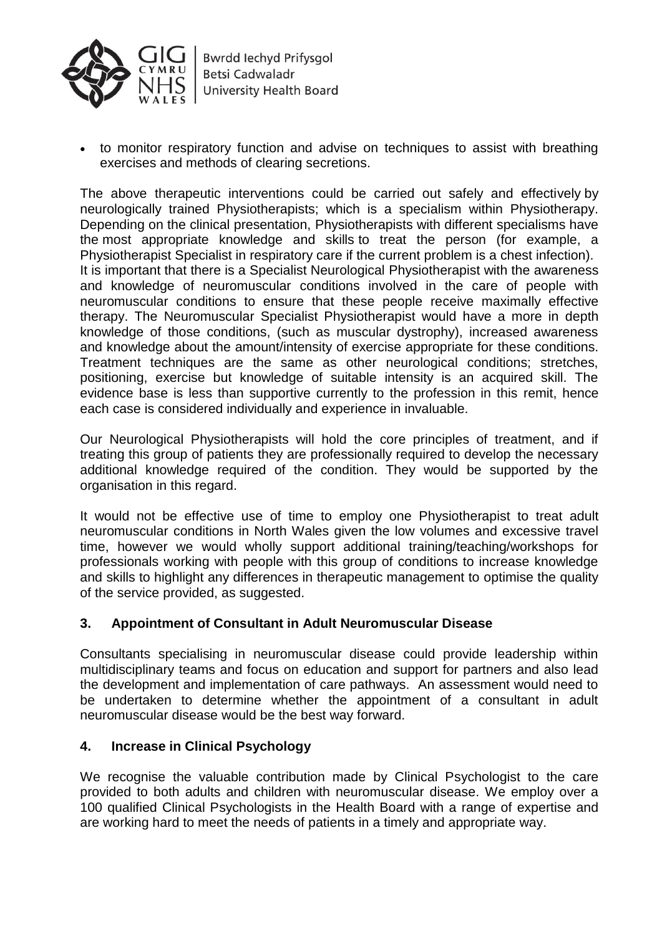

 to monitor respiratory function and advise on techniques to assist with breathing exercises and methods of clearing secretions.

The above therapeutic interventions could be carried out safely and effectively by neurologically trained Physiotherapists; which is a specialism within Physiotherapy. Depending on the clinical presentation, Physiotherapists with different specialisms have the most appropriate knowledge and skills to treat the person (for example, a Physiotherapist Specialist in respiratory care if the current problem is a chest infection). It is important that there is a Specialist Neurological Physiotherapist with the awareness and knowledge of neuromuscular conditions involved in the care of people with neuromuscular conditions to ensure that these people receive maximally effective therapy. The Neuromuscular Specialist Physiotherapist would have a more in depth knowledge of those conditions, (such as muscular dystrophy), increased awareness and knowledge about the amount/intensity of exercise appropriate for these conditions. Treatment techniques are the same as other neurological conditions; stretches, positioning, exercise but knowledge of suitable intensity is an acquired skill. The evidence base is less than supportive currently to the profession in this remit, hence each case is considered individually and experience in invaluable.

Our Neurological Physiotherapists will hold the core principles of treatment, and if treating this group of patients they are professionally required to develop the necessary additional knowledge required of the condition. They would be supported by the organisation in this regard.

It would not be effective use of time to employ one Physiotherapist to treat adult neuromuscular conditions in North Wales given the low volumes and excessive travel time, however we would wholly support additional training/teaching/workshops for professionals working with people with this group of conditions to increase knowledge and skills to highlight any differences in therapeutic management to optimise the quality of the service provided, as suggested.

## **3. Appointment of Consultant in Adult Neuromuscular Disease**

Consultants specialising in neuromuscular disease could provide leadership within multidisciplinary teams and focus on education and support for partners and also lead the development and implementation of care pathways. An assessment would need to be undertaken to determine whether the appointment of a consultant in adult neuromuscular disease would be the best way forward.

## **4. Increase in Clinical Psychology**

We recognise the valuable contribution made by Clinical Psychologist to the care provided to both adults and children with neuromuscular disease. We employ over a 100 qualified Clinical Psychologists in the Health Board with a range of expertise and are working hard to meet the needs of patients in a timely and appropriate way.